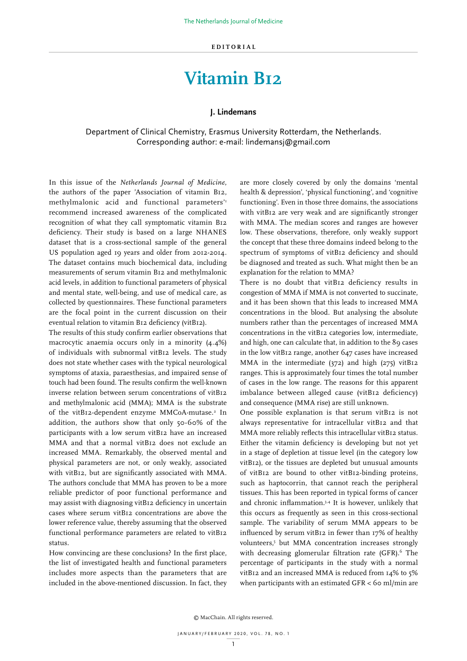## **Vitamin B12**

## **J. Lindemans**

Department of Clinical Chemistry, Erasmus University Rotterdam, the Netherlands. Corresponding author: e-mail: lindemansj@gmail.com

In this issue of the *Netherlands Journal of Medicine*, the authors of the paper 'Association of vitamin B12, methylmalonic acid and functional parameters<sup>"1</sup> recommend increased awareness of the complicated recognition of what they call symptomatic vitamin B12 deficiency. Their study is based on a large NHANES dataset that is a cross-sectional sample of the general US population aged 19 years and older from 2012-2014. The dataset contains much biochemical data, including measurements of serum vitamin B12 and methylmalonic acid levels, in addition to functional parameters of physical and mental state, well-being, and use of medical care, as collected by questionnaires. These functional parameters are the focal point in the current discussion on their eventual relation to vitamin B12 deficiency (vitB12).

The results of this study confirm earlier observations that macrocytic anaemia occurs only in a minority (4.4%) of individuals with subnormal vitB12 levels. The study does not state whether cases with the typical neurological symptoms of ataxia, paraesthesias, and impaired sense of touch had been found. The results confirm the well-known inverse relation between serum concentrations of vitB12 and methylmalonic acid (MMA); MMA is the substrate of the vitB12-dependent enzyme MMCoA-mutase.<sup>2</sup> In addition, the authors show that only 50-60% of the participants with a low serum vitB12 have an increased MMA and that a normal vitB12 does not exclude an increased MMA. Remarkably, the observed mental and physical parameters are not, or only weakly, associated with vitB12, but are significantly associated with MMA. The authors conclude that MMA has proven to be a more reliable predictor of poor functional performance and may assist with diagnosing vitB12 deficiency in uncertain cases where serum vitB12 concentrations are above the lower reference value, thereby assuming that the observed functional performance parameters are related to vitB12 status.

How convincing are these conclusions? In the first place, the list of investigated health and functional parameters includes more aspects than the parameters that are included in the above-mentioned discussion. In fact, they are more closely covered by only the domains 'mental health & depression', 'physical functioning', and 'cognitive functioning'. Even in those three domains, the associations with vitB12 are very weak and are significantly stronger with MMA. The median scores and ranges are however low. These observations, therefore, only weakly support the concept that these three domains indeed belong to the spectrum of symptoms of vitB12 deficiency and should be diagnosed and treated as such. What might then be an explanation for the relation to MMA?

There is no doubt that vitB12 deficiency results in congestion of MMA if MMA is not converted to succinate, and it has been shown that this leads to increased MMA concentrations in the blood. But analysing the absolute numbers rather than the percentages of increased MMA concentrations in the vitB12 categories low, intermediate, and high, one can calculate that, in addition to the 89 cases in the low vitB12 range, another 647 cases have increased MMA in the intermediate (372) and high (275) vitB12 ranges. This is approximately four times the total number of cases in the low range. The reasons for this apparent imbalance between alleged cause (vitB12 deficiency) and consequence (MMA rise) are still unknown.

One possible explanation is that serum vitB12 is not always representative for intracellular vitB12 and that MMA more reliably reflects this intracellular vitB12 status. Either the vitamin deficiency is developing but not yet in a stage of depletion at tissue level (in the category low vitB12), or the tissues are depleted but unusual amounts of vitB12 are bound to other vitB12-binding proteins, such as haptocorrin, that cannot reach the peripheral tissues. This has been reported in typical forms of cancer and chronic inflammation.<sup>3,4</sup> It is however, unlikely that this occurs as frequently as seen in this cross-sectional sample. The variability of serum MMA appears to be influenced by serum vitB12 in fewer than 17% of healthy volunteers,5 but MMA concentration increases strongly with decreasing glomerular filtration rate (GFR).<sup>6</sup> The percentage of participants in the study with a normal vitB12 and an increased MMA is reduced from 14% to 5% when participants with an estimated GFR < 60 ml/min are

© MacChain. All rights reserved.